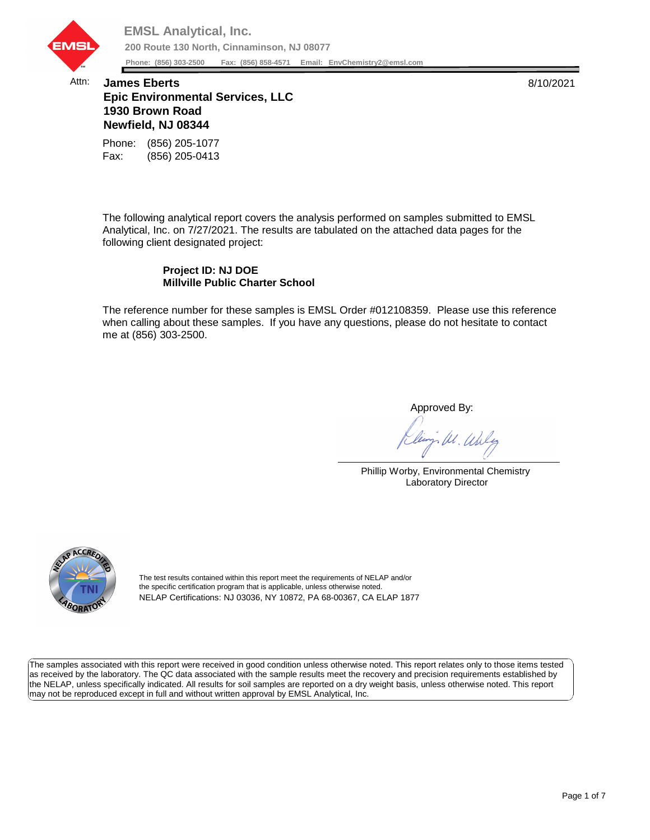

## Attn: **James Eberts** 8/10/2021 **Epic Environmental Services, LLC 1930 Brown Road Newfield, NJ 08344**

Fax: (856) 205-0413 Phone: (856) 205-1077

The following analytical report covers the analysis performed on samples submitted to EMSL Analytical, Inc. on 7/27/2021. The results are tabulated on the attached data pages for the following client designated project:

## **Project ID: NJ DOE Millville Public Charter School**

The reference number for these samples is EMSL Order #012108359. Please use this reference when calling about these samples. If you have any questions, please do not hesitate to contact me at (856) 303-2500.

Approved By:

W. Whly

Phillip Worby, Environmental Chemistry Laboratory Director



The test results contained within this report meet the requirements of NELAP and/or the specific certification program that is applicable, unless otherwise noted. NELAP Certifications: NJ 03036, NY 10872, PA 68-00367, CA ELAP 1877

The samples associated with this report were received in good condition unless otherwise noted. This report relates only to those items tested as received by the laboratory. The QC data associated with the sample results meet the recovery and precision requirements established by the NELAP, unless specifically indicated. All results for soil samples are reported on a dry weight basis, unless otherwise noted. This report may not be reproduced except in full and without written approval by EMSL Analytical, Inc.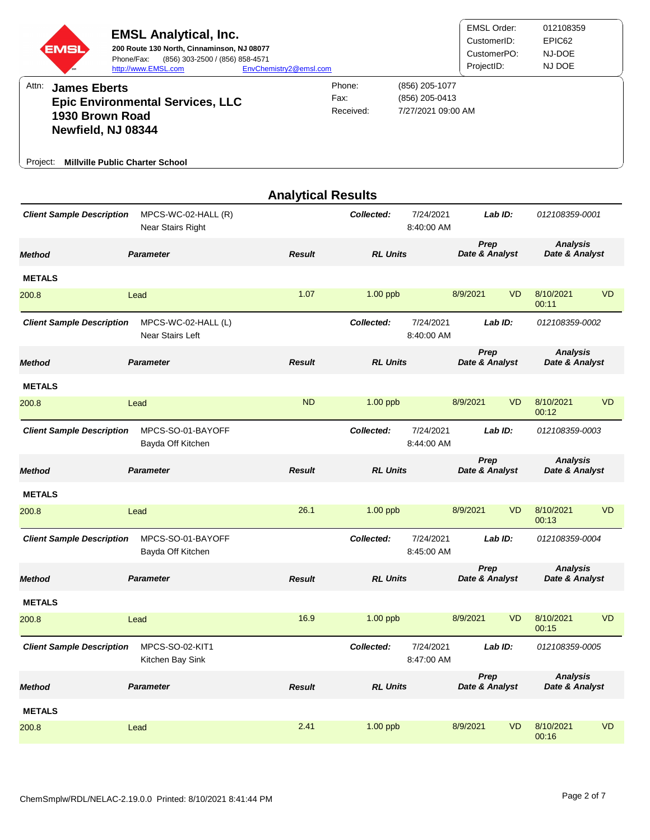| EMSL                                                                              | <b>EMSL Analytical, Inc.</b><br>200 Route 130 North, Cinnaminson, NJ 08077<br>(856) 303-2500 / (856) 858-4571<br>Phone/Fax:<br>http://www.EMSL.com | EnvChemistry2@emsl.com    |                             |                                                        | <b>EMSL Order:</b><br>CustomerID:<br>CustomerPO:<br>ProjectID: |           | 012108359<br>EPIC62<br>NJ-DOE<br>NJ DOE |           |
|-----------------------------------------------------------------------------------|----------------------------------------------------------------------------------------------------------------------------------------------------|---------------------------|-----------------------------|--------------------------------------------------------|----------------------------------------------------------------|-----------|-----------------------------------------|-----------|
| Attn:<br><b>James Eberts</b><br>1930 Brown Road<br>Newfield, NJ 08344<br>Project: | <b>Epic Environmental Services, LLC</b><br><b>Millville Public Charter School</b>                                                                  |                           | Phone:<br>Fax:<br>Received: | (856) 205-1077<br>(856) 205-0413<br>7/27/2021 09:00 AM |                                                                |           |                                         |           |
|                                                                                   |                                                                                                                                                    | <b>Analytical Results</b> |                             |                                                        |                                                                |           |                                         |           |
| <b>Client Sample Description</b>                                                  | MPCS-WC-02-HALL (R)<br>Near Stairs Right                                                                                                           |                           | Collected:                  | 7/24/2021<br>8:40:00 AM                                | Lab ID:                                                        |           | 012108359-0001                          |           |
| <b>Method</b>                                                                     | <b>Parameter</b>                                                                                                                                   | <b>Result</b>             | <b>RL Units</b>             |                                                        | Prep<br>Date & Analyst                                         |           | <b>Analysis</b><br>Date & Analyst       |           |
| <b>METALS</b>                                                                     |                                                                                                                                                    |                           |                             |                                                        |                                                                |           |                                         |           |
| 200.8                                                                             | Lead                                                                                                                                               | 1.07                      | $1.00$ ppb                  |                                                        | 8/9/2021                                                       | <b>VD</b> | 8/10/2021<br>00:11                      | <b>VD</b> |
| <b>Client Sample Description</b>                                                  | MPCS-WC-02-HALL (L)<br><b>Near Stairs Left</b>                                                                                                     |                           | Collected:                  | 7/24/2021<br>8:40:00 AM                                | Lab ID:                                                        |           | 012108359-0002                          |           |
| <b>Method</b>                                                                     | <b>Parameter</b>                                                                                                                                   | <b>Result</b>             | <b>RL Units</b>             |                                                        | Prep<br>Date & Analyst                                         |           | <b>Analysis</b><br>Date & Analyst       |           |
| <b>METALS</b>                                                                     |                                                                                                                                                    |                           |                             |                                                        |                                                                |           |                                         |           |
| 200.8                                                                             | Lead                                                                                                                                               | <b>ND</b>                 | $1.00$ ppb                  |                                                        | 8/9/2021                                                       | <b>VD</b> | 8/10/2021<br>00:12                      | <b>VD</b> |
| <b>Client Sample Description</b>                                                  | MPCS-SO-01-BAYOFF<br>Bayda Off Kitchen                                                                                                             |                           | Collected:                  | 7/24/2021<br>8:44:00 AM                                | Lab ID:                                                        |           | 012108359-0003                          |           |
| <b>Method</b>                                                                     | <b>Parameter</b>                                                                                                                                   | <b>Result</b>             | <b>RL Units</b>             |                                                        | Prep<br>Date & Analyst                                         |           | <b>Analysis</b><br>Date & Analyst       |           |
| <b>METALS</b>                                                                     |                                                                                                                                                    |                           |                             |                                                        |                                                                |           |                                         |           |
| 200.8                                                                             | Lead                                                                                                                                               | 26.1                      | $1.00$ ppb                  |                                                        | 8/9/2021                                                       | <b>VD</b> | 8/10/2021<br>00:13                      | <b>VD</b> |
| <b>Client Sample Description</b>                                                  | MPCS-SO-01-BAYOFF<br>Bayda Off Kitchen                                                                                                             |                           | Collected:                  | 7/24/2021<br>8:45:00 AM                                | Lab ID:                                                        |           | 012108359-0004                          |           |
| <b>Method</b>                                                                     | <b>Parameter</b>                                                                                                                                   | <b>Result</b>             | <b>RL Units</b>             |                                                        | Prep<br>Date & Analyst                                         |           | <b>Analysis</b><br>Date & Analyst       |           |
| <b>METALS</b>                                                                     |                                                                                                                                                    |                           |                             |                                                        |                                                                |           |                                         |           |
| 200.8                                                                             | Lead                                                                                                                                               | 16.9                      | 1.00 ppb                    |                                                        | 8/9/2021                                                       | <b>VD</b> | 8/10/2021<br>00:15                      | <b>VD</b> |
| <b>Client Sample Description</b>                                                  | MPCS-SO-02-KIT1<br>Kitchen Bay Sink                                                                                                                |                           | Collected:                  | 7/24/2021<br>8:47:00 AM                                | Lab ID:                                                        |           | 012108359-0005                          |           |
| <b>Method</b>                                                                     | <b>Parameter</b>                                                                                                                                   | <b>Result</b>             | <b>RL Units</b>             |                                                        | Prep<br>Date & Analyst                                         |           | <b>Analysis</b><br>Date & Analyst       |           |
| <b>METALS</b>                                                                     |                                                                                                                                                    |                           |                             |                                                        |                                                                |           |                                         |           |
| 200.8                                                                             | Lead                                                                                                                                               | 2.41                      | 1.00 ppb                    |                                                        | 8/9/2021                                                       | <b>VD</b> | 8/10/2021<br>00:16                      | <b>VD</b> |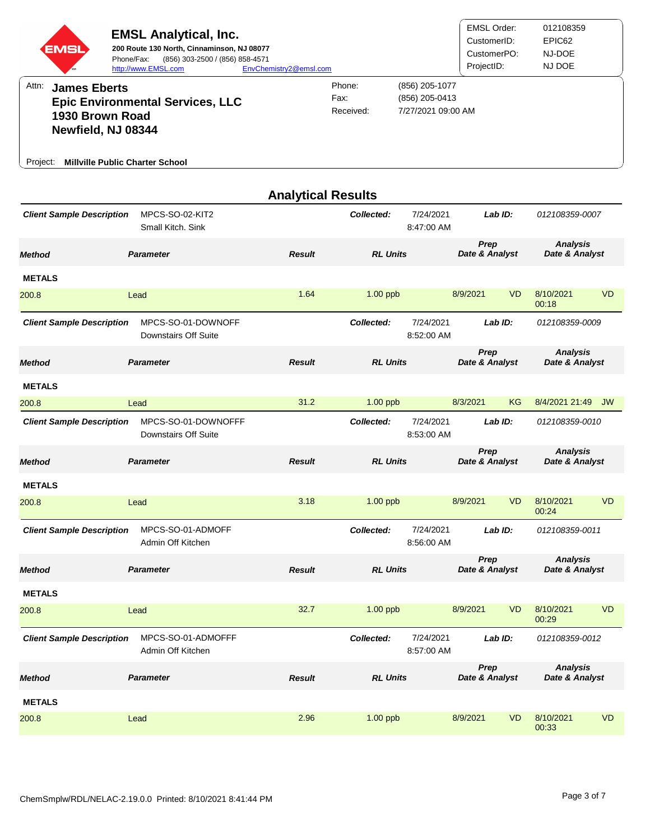| EMSI                                                                  | <b>EMSL Analytical, Inc.</b><br>200 Route 130 North, Cinnaminson, NJ 08077<br>Phone/Fax:<br>(856) 303-2500 / (856) 858-4571<br>http://www.EMSL.com | EnvChemistry2@emsl.com    |                             |                                                        | <b>EMSL Order:</b><br>CustomerID:<br>CustomerPO:<br>ProjectID: |           | 012108359<br>EPIC62<br>NJ-DOE<br>NJ DOE |           |
|-----------------------------------------------------------------------|----------------------------------------------------------------------------------------------------------------------------------------------------|---------------------------|-----------------------------|--------------------------------------------------------|----------------------------------------------------------------|-----------|-----------------------------------------|-----------|
| Attn:<br><b>James Eberts</b><br>1930 Brown Road<br>Newfield, NJ 08344 | <b>Epic Environmental Services, LLC</b>                                                                                                            |                           | Phone:<br>Fax:<br>Received: | (856) 205-1077<br>(856) 205-0413<br>7/27/2021 09:00 AM |                                                                |           |                                         |           |
| <b>Millville Public Charter School</b><br>Project:                    |                                                                                                                                                    |                           |                             |                                                        |                                                                |           |                                         |           |
|                                                                       |                                                                                                                                                    | <b>Analytical Results</b> |                             |                                                        |                                                                |           |                                         |           |
| <b>Client Sample Description</b>                                      | MPCS-SO-02-KIT2<br>Small Kitch, Sink                                                                                                               |                           | Collected:                  | 7/24/2021<br>8:47:00 AM                                | Lab ID:                                                        |           | 012108359-0007                          |           |
| <b>Method</b>                                                         | <b>Parameter</b>                                                                                                                                   | <b>Result</b>             | <b>RL Units</b>             |                                                        | Prep<br>Date & Analyst                                         |           | <b>Analysis</b><br>Date & Analyst       |           |
| <b>METALS</b>                                                         |                                                                                                                                                    |                           |                             |                                                        |                                                                |           |                                         |           |
| 200.8                                                                 | Lead                                                                                                                                               | 1.64                      | $1.00$ ppb                  |                                                        | 8/9/2021                                                       | <b>VD</b> | 8/10/2021<br>00:18                      | <b>VD</b> |
| <b>Client Sample Description</b>                                      | MPCS-SO-01-DOWNOFF<br>Downstairs Off Suite                                                                                                         |                           | Collected:                  | 7/24/2021<br>8:52:00 AM                                | LabID:                                                         |           | 012108359-0009                          |           |
| <b>Method</b>                                                         | <b>Parameter</b>                                                                                                                                   | <b>Result</b>             | <b>RL Units</b>             |                                                        | Prep<br>Date & Analyst                                         |           | <b>Analysis</b><br>Date & Analyst       |           |
| <b>METALS</b>                                                         |                                                                                                                                                    |                           |                             |                                                        |                                                                |           |                                         |           |
| 200.8                                                                 | Lead                                                                                                                                               | 31.2                      | $1.00$ ppb                  |                                                        | 8/3/2021                                                       | ΚG        | 8/4/2021 21:49                          | <b>JW</b> |
| <b>Client Sample Description</b>                                      | MPCS-SO-01-DOWNOFFF<br>Downstairs Off Suite                                                                                                        |                           | Collected:                  | 7/24/2021<br>8:53:00 AM                                | Lab ID:                                                        |           | 012108359-0010                          |           |
| <b>Method</b>                                                         | <b>Parameter</b>                                                                                                                                   | <b>Result</b>             | <b>RL Units</b>             |                                                        | Prep<br>Date & Analyst                                         |           | <b>Analysis</b><br>Date & Analyst       |           |
| <b>METALS</b>                                                         |                                                                                                                                                    |                           |                             |                                                        |                                                                |           |                                         |           |
| 200.8                                                                 | Lead                                                                                                                                               | 3.18                      | $1.00$ ppb                  |                                                        | 8/9/2021                                                       | <b>VD</b> | 8/10/2021<br>00:24                      | <b>VD</b> |
| <b>Client Sample Description</b>                                      | MPCS-SO-01-ADMOFF<br>Admin Off Kitchen                                                                                                             |                           | Collected:                  | 7/24/2021<br>8:56:00 AM                                | Lab ID:                                                        |           | 012108359-0011                          |           |
| <b>Method</b>                                                         | <b>Parameter</b>                                                                                                                                   | <b>Result</b>             | <b>RL Units</b>             |                                                        | Prep<br>Date & Analyst                                         |           | <b>Analysis</b><br>Date & Analyst       |           |
| <b>METALS</b>                                                         |                                                                                                                                                    |                           |                             |                                                        |                                                                |           |                                         |           |
| 200.8                                                                 | Lead                                                                                                                                               | 32.7                      | $1.00$ ppb                  |                                                        | 8/9/2021                                                       | <b>VD</b> | 8/10/2021<br>00:29                      | <b>VD</b> |
| <b>Client Sample Description</b>                                      | MPCS-SO-01-ADMOFFF<br>Admin Off Kitchen                                                                                                            |                           | Collected:                  | 7/24/2021<br>8:57:00 AM                                |                                                                | Lab ID:   | 012108359-0012                          |           |
| <b>Method</b>                                                         | <b>Parameter</b>                                                                                                                                   | <b>Result</b>             | <b>RL Units</b>             |                                                        | Prep<br>Date & Analyst                                         |           | <b>Analysis</b><br>Date & Analyst       |           |
| <b>METALS</b>                                                         |                                                                                                                                                    |                           |                             |                                                        |                                                                |           |                                         |           |
| 200.8                                                                 | Lead                                                                                                                                               | 2.96                      | $1.00$ ppb                  |                                                        | 8/9/2021                                                       | <b>VD</b> | 8/10/2021<br>00:33                      | <b>VD</b> |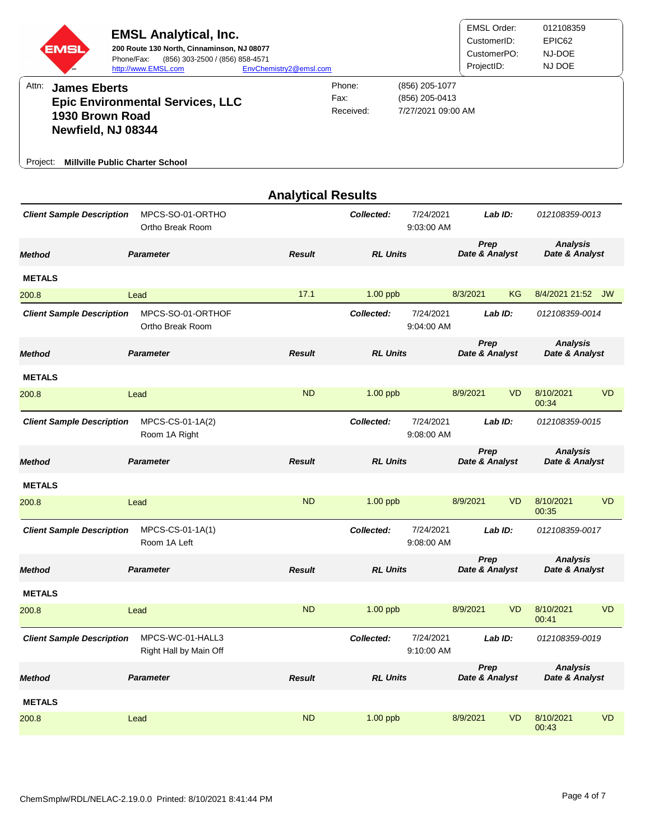| EMSI<br>Attn:<br><b>James Eberts</b><br>1930 Brown Road<br>Newfield, NJ 08344<br><b>Millville Public Charter School</b><br>Project: | <b>EMSL Analytical, Inc.</b><br>200 Route 130 North, Cinnaminson, NJ 08077<br>Phone/Fax:<br>(856) 303-2500 / (856) 858-4571<br>http://www.EMSL.com<br><b>Epic Environmental Services, LLC</b> | EnvChemistry2@emsl.com    | Phone:<br>Fax:<br>Received: | (856) 205-1077<br>(856) 205-0413<br>7/27/2021 09:00 AM | <b>EMSL Order:</b><br>CustomerID:<br>CustomerPO:<br>ProjectID: |           | 012108359<br>EPIC62<br>NJ-DOE<br>NJ DOE |           |
|-------------------------------------------------------------------------------------------------------------------------------------|-----------------------------------------------------------------------------------------------------------------------------------------------------------------------------------------------|---------------------------|-----------------------------|--------------------------------------------------------|----------------------------------------------------------------|-----------|-----------------------------------------|-----------|
|                                                                                                                                     |                                                                                                                                                                                               | <b>Analytical Results</b> |                             |                                                        |                                                                |           |                                         |           |
| <b>Client Sample Description</b>                                                                                                    | MPCS-SO-01-ORTHO<br>Ortho Break Room                                                                                                                                                          |                           | Collected:                  | 7/24/2021<br>9:03:00 AM                                |                                                                | Lab ID:   | 012108359-0013                          |           |
| <b>Method</b>                                                                                                                       | <b>Parameter</b>                                                                                                                                                                              | <b>Result</b>             | <b>RL Units</b>             |                                                        | Prep<br>Date & Analyst                                         |           | <b>Analysis</b><br>Date & Analyst       |           |
| <b>METALS</b>                                                                                                                       |                                                                                                                                                                                               |                           |                             |                                                        |                                                                |           |                                         |           |
| 200.8                                                                                                                               | Lead                                                                                                                                                                                          | 17.1                      | $1.00$ ppb                  |                                                        | 8/3/2021                                                       | ΚG        | 8/4/2021 21:52                          | <b>JW</b> |
| <b>Client Sample Description</b>                                                                                                    | MPCS-SO-01-ORTHOF<br>Ortho Break Room                                                                                                                                                         |                           | Collected:                  | 7/24/2021<br>9:04:00 AM                                |                                                                | Lab ID:   | 012108359-0014                          |           |
| <b>Method</b>                                                                                                                       | <b>Parameter</b>                                                                                                                                                                              | <b>Result</b>             | <b>RL Units</b>             |                                                        | Prep<br>Date & Analyst                                         |           | <b>Analysis</b><br>Date & Analyst       |           |
| <b>METALS</b>                                                                                                                       |                                                                                                                                                                                               |                           |                             |                                                        |                                                                |           |                                         |           |
| 200.8                                                                                                                               | Lead                                                                                                                                                                                          | <b>ND</b>                 | $1.00$ ppb                  |                                                        | 8/9/2021                                                       | <b>VD</b> | 8/10/2021<br>00:34                      | <b>VD</b> |
| <b>Client Sample Description</b>                                                                                                    | MPCS-CS-01-1A(2)<br>Room 1A Right                                                                                                                                                             |                           | Collected:                  | 7/24/2021<br>9:08:00 AM                                |                                                                | Lab ID:   | 012108359-0015                          |           |
| <b>Method</b>                                                                                                                       | <b>Parameter</b>                                                                                                                                                                              | <b>Result</b>             | <b>RL Units</b>             |                                                        | Prep<br>Date & Analyst                                         |           | <b>Analysis</b><br>Date & Analyst       |           |
| <b>METALS</b>                                                                                                                       |                                                                                                                                                                                               |                           |                             |                                                        |                                                                |           |                                         |           |
| 200.8                                                                                                                               | Lead                                                                                                                                                                                          | <b>ND</b>                 | $1.00$ ppb                  |                                                        | 8/9/2021                                                       | <b>VD</b> | 8/10/2021<br>00:35                      | <b>VD</b> |
| <b>Client Sample Description</b>                                                                                                    | MPCS-CS-01-1A(1)<br>Room 1A Left                                                                                                                                                              |                           | Collected:                  | 7/24/2021<br>9:08:00 AM                                |                                                                | Lab ID:   | 012108359-0017                          |           |
| <b>Method</b>                                                                                                                       | <b>Parameter</b>                                                                                                                                                                              | <b>Result</b>             | <b>RL Units</b>             |                                                        | Prep<br>Date & Analyst                                         |           | <b>Analysis</b><br>Date & Analyst       |           |
| <b>METALS</b>                                                                                                                       |                                                                                                                                                                                               |                           |                             |                                                        |                                                                |           |                                         |           |
| 200.8                                                                                                                               | Lead                                                                                                                                                                                          | <b>ND</b>                 | $1.00$ ppb                  |                                                        | 8/9/2021                                                       | <b>VD</b> | 8/10/2021<br>00:41                      | <b>VD</b> |
| <b>Client Sample Description</b>                                                                                                    | MPCS-WC-01-HALL3<br>Right Hall by Main Off                                                                                                                                                    |                           | Collected:                  | 7/24/2021<br>9:10:00 AM                                |                                                                | Lab ID:   | 012108359-0019                          |           |
| <b>Method</b>                                                                                                                       | <b>Parameter</b>                                                                                                                                                                              | <b>Result</b>             | <b>RL Units</b>             |                                                        | Prep<br>Date & Analyst                                         |           | <b>Analysis</b><br>Date & Analyst       |           |
| <b>METALS</b>                                                                                                                       |                                                                                                                                                                                               |                           |                             |                                                        |                                                                |           |                                         |           |
| 200.8                                                                                                                               | Lead                                                                                                                                                                                          | <b>ND</b>                 | 1.00 ppb                    |                                                        | 8/9/2021                                                       | <b>VD</b> | 8/10/2021<br>00:43                      | <b>VD</b> |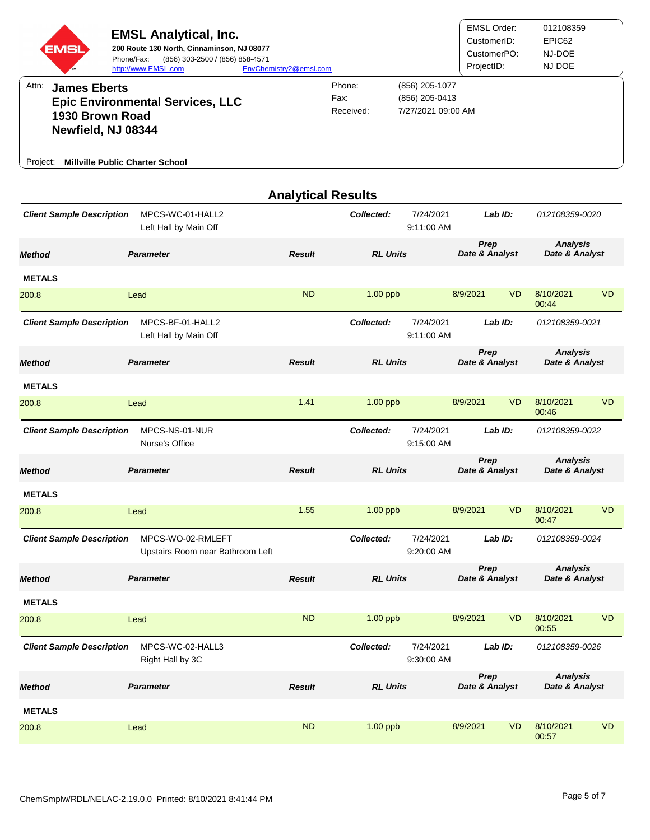| EMSI                                                                              | <b>EMSL Analytical, Inc.</b><br>200 Route 130 North, Cinnaminson, NJ 08077<br>(856) 303-2500 / (856) 858-4571<br>Phone/Fax:<br>http://www.EMSL.com | EnvChemistry2@emsl.com |                             |                                                        | <b>EMSL Order:</b><br>CustomerID:<br>CustomerPO:<br>ProjectID: |           | 012108359<br>EPIC62<br>NJ-DOE<br>NJ DOE |           |
|-----------------------------------------------------------------------------------|----------------------------------------------------------------------------------------------------------------------------------------------------|------------------------|-----------------------------|--------------------------------------------------------|----------------------------------------------------------------|-----------|-----------------------------------------|-----------|
| Attn:<br><b>James Eberts</b><br>1930 Brown Road<br>Newfield, NJ 08344<br>Project: | <b>Epic Environmental Services, LLC</b><br><b>Millville Public Charter School</b>                                                                  |                        | Phone:<br>Fax:<br>Received: | (856) 205-1077<br>(856) 205-0413<br>7/27/2021 09:00 AM |                                                                |           |                                         |           |
|                                                                                   |                                                                                                                                                    |                        | <b>Analytical Results</b>   |                                                        |                                                                |           |                                         |           |
| <b>Client Sample Description</b>                                                  | MPCS-WC-01-HALL2<br>Left Hall by Main Off                                                                                                          |                        | Collected:                  | 7/24/2021<br>9:11:00 AM                                |                                                                | Lab ID:   | 012108359-0020                          |           |
| <b>Method</b>                                                                     | <b>Parameter</b>                                                                                                                                   | <b>Result</b>          | <b>RL Units</b>             |                                                        | Prep<br>Date & Analyst                                         |           | <b>Analysis</b><br>Date & Analyst       |           |
| <b>METALS</b>                                                                     |                                                                                                                                                    |                        |                             |                                                        |                                                                |           |                                         |           |
| 200.8                                                                             | Lead                                                                                                                                               | <b>ND</b>              | $1.00$ ppb                  |                                                        | 8/9/2021                                                       | <b>VD</b> | 8/10/2021<br>00:44                      | <b>VD</b> |
| <b>Client Sample Description</b>                                                  | MPCS-BF-01-HALL2<br>Left Hall by Main Off                                                                                                          |                        | Collected:                  | 7/24/2021<br>9:11:00 AM                                |                                                                | Lab ID:   | 012108359-0021                          |           |
| <b>Method</b>                                                                     | <b>Parameter</b>                                                                                                                                   | <b>Result</b>          | <b>RL Units</b>             |                                                        | Prep<br>Date & Analyst                                         |           | <b>Analysis</b><br>Date & Analyst       |           |
| <b>METALS</b>                                                                     |                                                                                                                                                    |                        |                             |                                                        |                                                                |           |                                         |           |
| 200.8                                                                             | Lead                                                                                                                                               | 1.41                   | $1.00$ ppb                  |                                                        | 8/9/2021                                                       | <b>VD</b> | 8/10/2021<br>00:46                      | <b>VD</b> |
| <b>Client Sample Description</b>                                                  | MPCS-NS-01-NUR<br>Nurse's Office                                                                                                                   |                        | Collected:                  | 7/24/2021<br>9:15:00 AM                                |                                                                | Lab ID:   | 012108359-0022                          |           |
| <b>Method</b>                                                                     | <b>Parameter</b>                                                                                                                                   | <b>Result</b>          | <b>RL Units</b>             |                                                        | Prep<br>Date & Analyst                                         |           | <b>Analysis</b><br>Date & Analyst       |           |
| <b>METALS</b>                                                                     |                                                                                                                                                    |                        |                             |                                                        |                                                                |           |                                         |           |
| 200.8                                                                             | Lead                                                                                                                                               | 1.55                   | $1.00$ ppb                  |                                                        | 8/9/2021                                                       | <b>VD</b> | 8/10/2021<br>00:47                      | <b>VD</b> |
| <b>Client Sample Description</b>                                                  | MPCS-WO-02-RMLEFT<br>Upstairs Room near Bathroom Left                                                                                              |                        | Collected:                  | 7/24/2021<br>9:20:00 AM                                |                                                                | Lab ID:   | 012108359-0024                          |           |
| <b>Method</b>                                                                     | <b>Parameter</b>                                                                                                                                   | <b>Result</b>          | <b>RL Units</b>             |                                                        | <b>Prep</b><br>Date & Analyst                                  |           | <b>Analysis</b><br>Date & Analyst       |           |
| <b>METALS</b>                                                                     |                                                                                                                                                    |                        |                             |                                                        |                                                                |           |                                         |           |
| 200.8                                                                             | Lead                                                                                                                                               | <b>ND</b>              | $1.00$ ppb                  |                                                        | 8/9/2021                                                       | <b>VD</b> | 8/10/2021<br>00:55                      | <b>VD</b> |
| <b>Client Sample Description</b>                                                  | MPCS-WC-02-HALL3<br>Right Hall by 3C                                                                                                               |                        | Collected:                  | 7/24/2021<br>9:30:00 AM                                |                                                                | Lab ID:   | 012108359-0026                          |           |
| <b>Method</b>                                                                     | <b>Parameter</b>                                                                                                                                   | <b>Result</b>          | <b>RL Units</b>             |                                                        | Prep<br>Date & Analyst                                         |           | <b>Analysis</b><br>Date & Analyst       |           |
| <b>METALS</b>                                                                     |                                                                                                                                                    |                        |                             |                                                        |                                                                |           |                                         |           |
| 200.8                                                                             | Lead                                                                                                                                               | <b>ND</b>              | $1.00$ ppb                  |                                                        | 8/9/2021                                                       | <b>VD</b> | 8/10/2021<br>00:57                      | <b>VD</b> |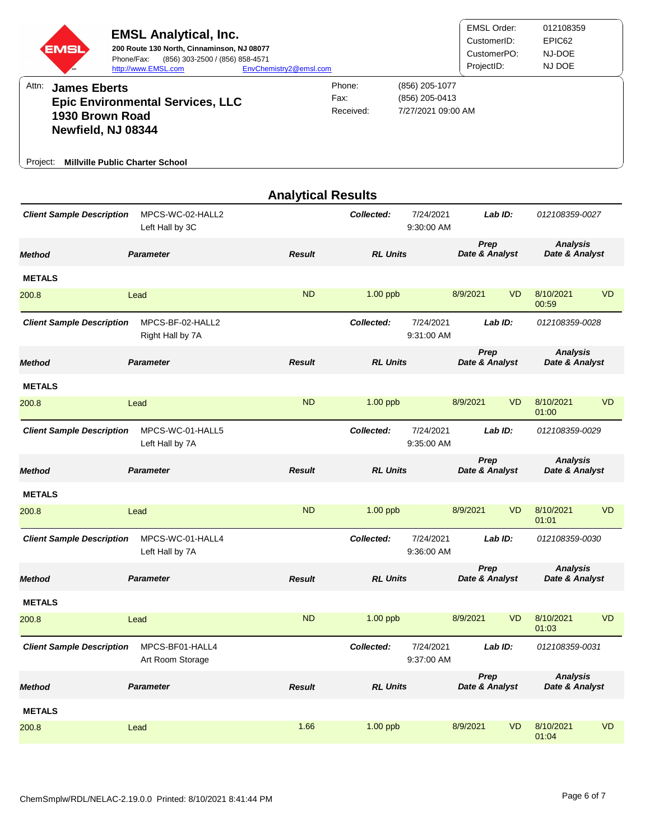| EMSI                                                                              | <b>EMSL Analytical, Inc.</b><br>200 Route 130 North, Cinnaminson, NJ 08077<br>Phone/Fax:<br>(856) 303-2500 / (856) 858-4571<br>http://www.EMSL.com | EnvChemistry2@emsl.com    |                             |                                                        | <b>EMSL Order:</b><br>CustomerID:<br>CustomerPO:<br>ProjectID: |           | 012108359<br>EPIC62<br>NJ-DOE<br>NJ DOE |           |
|-----------------------------------------------------------------------------------|----------------------------------------------------------------------------------------------------------------------------------------------------|---------------------------|-----------------------------|--------------------------------------------------------|----------------------------------------------------------------|-----------|-----------------------------------------|-----------|
| Attn:<br><b>James Eberts</b><br>1930 Brown Road<br>Newfield, NJ 08344<br>Project: | <b>Epic Environmental Services, LLC</b><br><b>Millville Public Charter School</b>                                                                  |                           | Phone:<br>Fax:<br>Received: | (856) 205-1077<br>(856) 205-0413<br>7/27/2021 09:00 AM |                                                                |           |                                         |           |
|                                                                                   |                                                                                                                                                    | <b>Analytical Results</b> |                             |                                                        |                                                                |           |                                         |           |
| <b>Client Sample Description</b>                                                  | MPCS-WC-02-HALL2<br>Left Hall by 3C                                                                                                                |                           | Collected:                  | 7/24/2021<br>9:30:00 AM                                |                                                                | Lab ID:   | 012108359-0027                          |           |
| <b>Method</b>                                                                     | <b>Parameter</b>                                                                                                                                   | <b>Result</b>             | <b>RL Units</b>             |                                                        | Prep<br>Date & Analyst                                         |           | <b>Analysis</b><br>Date & Analyst       |           |
| <b>METALS</b><br>200.8                                                            | Lead                                                                                                                                               | <b>ND</b>                 | $1.00$ ppb                  |                                                        | 8/9/2021                                                       | <b>VD</b> | 8/10/2021<br>00:59                      | <b>VD</b> |
| <b>Client Sample Description</b>                                                  | MPCS-BF-02-HALL2<br>Right Hall by 7A                                                                                                               |                           | Collected:                  | 7/24/2021<br>9:31:00 AM                                |                                                                | Lab $ID:$ | 012108359-0028                          |           |
| <b>Method</b>                                                                     | <b>Parameter</b>                                                                                                                                   | <b>Result</b>             | <b>RL Units</b>             |                                                        | Prep<br>Date & Analyst                                         |           | <b>Analysis</b><br>Date & Analyst       |           |
| <b>METALS</b>                                                                     |                                                                                                                                                    |                           |                             |                                                        |                                                                |           |                                         |           |
| 200.8                                                                             | Lead                                                                                                                                               | <b>ND</b>                 | $1.00$ ppb                  |                                                        | 8/9/2021                                                       | <b>VD</b> | 8/10/2021<br>01:00                      | <b>VD</b> |
| <b>Client Sample Description</b>                                                  | MPCS-WC-01-HALL5<br>Left Hall by 7A                                                                                                                |                           | Collected:                  | 7/24/2021<br>9:35:00 AM                                |                                                                | Lab ID:   | 012108359-0029                          |           |
| <b>Method</b>                                                                     | <b>Parameter</b>                                                                                                                                   | <b>Result</b>             | <b>RL Units</b>             |                                                        | Prep<br>Date & Analyst                                         |           | <b>Analysis</b><br>Date & Analyst       |           |
| <b>METALS</b>                                                                     |                                                                                                                                                    |                           |                             |                                                        |                                                                |           |                                         |           |
| 200.8                                                                             | Lead                                                                                                                                               | <b>ND</b>                 | $1.00$ ppb                  |                                                        | 8/9/2021                                                       | <b>VD</b> | 8/10/2021<br>01:01                      | <b>VD</b> |
| <b>Client Sample Description</b>                                                  | MPCS-WC-01-HALL4<br>Left Hall by 7A                                                                                                                |                           | Collected:                  | 7/24/2021<br>9:36:00 AM                                |                                                                | Lab ID:   | 012108359-0030                          |           |
| <b>Method</b>                                                                     | <b>Parameter</b>                                                                                                                                   | <b>Result</b>             | <b>RL Units</b>             |                                                        | Prep<br>Date & Analyst                                         |           | <b>Analysis</b><br>Date & Analyst       |           |
| <b>METALS</b>                                                                     |                                                                                                                                                    |                           |                             |                                                        |                                                                |           |                                         |           |
| 200.8                                                                             | Lead                                                                                                                                               | <b>ND</b>                 | $1.00$ ppb                  |                                                        | 8/9/2021                                                       | <b>VD</b> | 8/10/2021<br>01:03                      | <b>VD</b> |
| <b>Client Sample Description</b>                                                  | MPCS-BF01-HALL4<br>Art Room Storage                                                                                                                |                           | Collected:                  | 7/24/2021<br>9:37:00 AM                                |                                                                | Lab ID:   | 012108359-0031                          |           |
| <b>Method</b>                                                                     | <b>Parameter</b>                                                                                                                                   | <b>Result</b>             | <b>RL Units</b>             |                                                        | Prep<br>Date & Analyst                                         |           | <b>Analysis</b><br>Date & Analyst       |           |
| <b>METALS</b>                                                                     |                                                                                                                                                    |                           |                             |                                                        |                                                                |           |                                         |           |
| 200.8                                                                             | Lead                                                                                                                                               | 1.66                      | 1.00 ppb                    |                                                        | 8/9/2021                                                       | <b>VD</b> | 8/10/2021<br>01:04                      | <b>VD</b> |